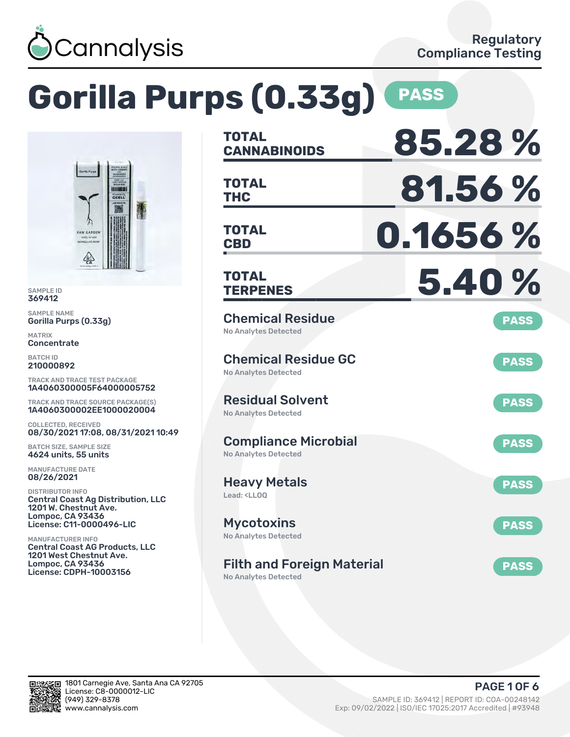

### **Gorilla Purps (0.33g) PASS TOTAL CANNABINOIDS 85.28 % TOTAL THC 81.56 % TOTAL CBD 0.1656 % TOTAL TERPENES 5.40 %** Chemical Residue No Analytes Detected **PASS** Chemical Residue GC No Analytes Detected **PASS** Residual Solvent No Analytes Detected **PASS** Compliance Microbial No Analytes Detected **PASS** Heavy Metals Lead: <LLOO **PASS** Mycotoxins No Analytes Detected **PASS** Filth and Foreign Material No Analytes Detected **PASS** TRACK AND TRACE TEST PACKAGE 1A4060300005F64000005752 TRACK AND TRACE SOURCE PACKAGE(S) 1A4060300002EE1000020004 08/30/2021 17:08, 08/31/2021 10:49 Central Coast Ag Distribution, LLC License: C11-0000496-LIC Central Coast AG Products, LLC 1201 West Chestnut Ave. License: CDPH-10003156

SAMPLE ID 369412 SAMPLE NAME

MATRIX **Concentrate** BATCH ID 210000892

Gorilla Purps (0.33g)

**RAW GARDEN** 

COLLECTED, RECEIVED

BATCH SIZE, SAMPLE SIZE 4624 units, 55 units MANUFACTURE DATE 08/26/2021 DISTRIBUTOR INFO

1201 W. Chestnut Ave. Lompoc, CA 93436

MANUFACTURER INFO

Lompoc, CA 93436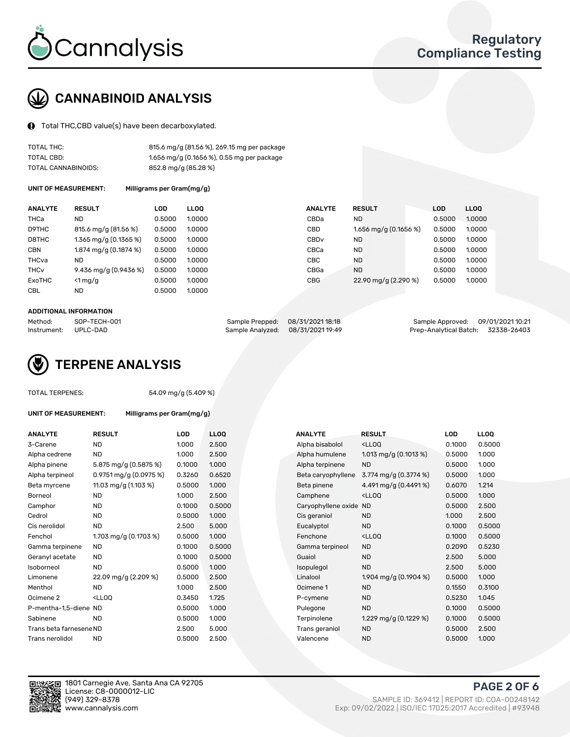

# CANNABINOID ANALYSIS

Total THC,CBD value(s) have been decarboxylated.

| TOTAL THC:          | 815.6 mg/g (81.56 %), 269.15 mg per package |
|---------------------|---------------------------------------------|
| TOTAL CBD:          | 1.656 mg/g (0.1656 %), 0.55 mg per package  |
| TOTAL CANNABINOIDS: | 852.8 mg/g (85.28 %)                        |

UNIT OF MEASUREMENT: Milligrams per Gram(mg/g)

| <b>ANALYTE</b>         | <b>RESULT</b>         | <b>LOD</b> | <b>LLOO</b> | <b>ANALYTE</b>   | <b>RESULT</b>           | <b>LOD</b> | <b>LLOO</b> |
|------------------------|-----------------------|------------|-------------|------------------|-------------------------|------------|-------------|
| THCa                   | ND                    | 0.5000     | 1.0000      | CBDa             | ND.                     | 0.5000     | 1.0000      |
| D9THC                  | 815.6 mg/g (81.56 %)  | 0.5000     | 1.0000      | <b>CBD</b>       | 1.656 mg/g $(0.1656\%)$ | 0.5000     | 1.0000      |
| D8THC                  | 1.365 mg/g (0.1365 %) | 0.5000     | 1.0000      | CBD <sub>v</sub> | ND                      | 0.5000     | 1.0000      |
| <b>CBN</b>             | 1.874 mg/g (0.1874 %) | 0.5000     | 1.0000      | CBCa             | <b>ND</b>               | 0.5000     | 1.0000      |
| THCva                  | ND                    | 0.5000     | 1.0000      | CBC              | <b>ND</b>               | 0.5000     | 1.0000      |
| <b>THC<sub>v</sub></b> | 9.436 mg/g (0.9436 %) | 0.5000     | 1.0000      | CBGa             | <b>ND</b>               | 0.5000     | 1.0000      |
| ExoTHC                 | $<$ 1 mg/g            | 0.5000     | 1.0000      | <b>CBG</b>       | 22.90 mg/g (2.290 %)    | 0.5000     | 1.0000      |
| <b>CBL</b>             | <b>ND</b>             | 0.5000     | 1.0000      |                  |                         |            |             |

#### ADDITIONAL INFORMATION

| Method:     | SOP-TECH-001 | Sample Prepped: 08/31/2021 18:18  | Sample Approved: 09/01/2021 10:21  |  |
|-------------|--------------|-----------------------------------|------------------------------------|--|
| Instrument: | UPLC-DAD     | Sample Analyzed: 08/31/2021 19:49 | Prep-Analytical Batch: 32338-26403 |  |



TOTAL TERPENES: 54.09 mg/g (5.409 %)

| ANALYTE                 | <b>RESULT</b>                                                                                                      | LOD    | <b>LLOQ</b> | <b>ANALYTE</b>         | <b>RESULT</b>                                      | LOD    | <b>LLOQ</b> |
|-------------------------|--------------------------------------------------------------------------------------------------------------------|--------|-------------|------------------------|----------------------------------------------------|--------|-------------|
| 3-Carene                | <b>ND</b>                                                                                                          | 1.000  | 2.500       | Alpha bisabolol        | <lloq< td=""><td>0.1000</td><td>0.500</td></lloq<> | 0.1000 | 0.500       |
| Alpha cedrene           | <b>ND</b>                                                                                                          | 1.000  | 2.500       | Alpha humulene         | 1.013 mg/g $(0.1013 \%)$                           | 0.5000 | 1.000       |
| Alpha pinene            | 5.875 mg/g (0.5875 %)                                                                                              | 0.1000 | 1.000       | Alpha terpinene        | <b>ND</b>                                          | 0.5000 | 1.000       |
| Alpha terpineol         | $0.9751$ mg/g $(0.0975%)$                                                                                          | 0.3260 | 0.6520      | Beta caryophyllene     | 3.774 mg/g (0.3774 %)                              | 0.5000 | 1.000       |
| Beta myrcene            | 11.03 mg/g (1.103 %)                                                                                               | 0.5000 | 1.000       | Beta pinene            | 4.491 mg/g (0.4491 %)                              | 0.6070 | 1.214       |
| Borneol                 | <b>ND</b>                                                                                                          | 1.000  | 2.500       | Camphene               | <lloq< td=""><td>0.5000</td><td>1.000</td></lloq<> | 0.5000 | 1.000       |
| Camphor                 | <b>ND</b>                                                                                                          | 0.1000 | 0.5000      | Caryophyllene oxide ND |                                                    | 0.5000 | 2.500       |
| Cedrol                  | <b>ND</b>                                                                                                          | 0.5000 | 1.000       | Cis geraniol           | <b>ND</b>                                          | 1.000  | 2.500       |
| Cis nerolidol           | <b>ND</b>                                                                                                          | 2.500  | 5.000       | Eucalyptol             | <b>ND</b>                                          | 0.1000 | 0.500       |
| Fenchol                 | 1.703 mg/g (0.1703 %)                                                                                              | 0.5000 | 1.000       | Fenchone               | <lloq< td=""><td>0.1000</td><td>0.500</td></lloq<> | 0.1000 | 0.500       |
| Gamma terpinene         | ND.                                                                                                                | 0.1000 | 0.5000      | Gamma terpineol        | <b>ND</b>                                          | 0.2090 | 0.523       |
| Geranyl acetate         | ND.                                                                                                                | 0.1000 | 0.5000      | Guaiol                 | <b>ND</b>                                          | 2.500  | 5.000       |
| Isoborneol              | <b>ND</b>                                                                                                          | 0.5000 | 1.000       | Isopulegol             | <b>ND</b>                                          | 2.500  | 5.000       |
| Limonene                | 22.09 mg/g (2.209 %)                                                                                               | 0.5000 | 2.500       | Linalool               | 1.904 mg/g (0.1904 %)                              | 0.5000 | 1.000       |
| Menthol                 | <b>ND</b>                                                                                                          | 1.000  | 2.500       | Ocimene 1              | <b>ND</b>                                          | 0.1550 | 0.310       |
| Ocimene 2               | <lloq< td=""><td>0.3450</td><td>1.725</td><td>P-cymene</td><td><b>ND</b></td><td>0.5230</td><td>1.045</td></lloq<> | 0.3450 | 1.725       | P-cymene               | <b>ND</b>                                          | 0.5230 | 1.045       |
| P-mentha-1,5-diene ND   |                                                                                                                    | 0.5000 | 1.000       | Pulegone               | <b>ND</b>                                          | 0.1000 | 0.500       |
| Sabinene                | <b>ND</b>                                                                                                          | 0.5000 | 1.000       | Terpinolene            | 1.229 mg/g $(0.1229 \%)$                           | 0.1000 | 0.500       |
| Trans beta farnesene ND |                                                                                                                    | 2.500  | 5.000       | Trans geraniol         | <b>ND</b>                                          | 0.5000 | 2.500       |
| Trans nerolidol         | <b>ND</b>                                                                                                          | 0.5000 | 2.500       | Valencene              | <b>ND</b>                                          | 0.5000 | 1.000       |

UNIT OF MEASUREMENT: Milligrams per Gram(mg/g)

| ANALYTE                 | <b>RESULT</b>                                                                                                      | <b>LOD</b> | <b>LLOQ</b> | <b>ANALYTE</b>      | <b>RESULT</b>                                       | <b>LOD</b> | <b>LLOQ</b> |
|-------------------------|--------------------------------------------------------------------------------------------------------------------|------------|-------------|---------------------|-----------------------------------------------------|------------|-------------|
| 3-Carene                | <b>ND</b>                                                                                                          | 1.000      | 2.500       | Alpha bisabolol     | <ll0q< td=""><td>0.1000</td><td>0.5000</td></ll0q<> | 0.1000     | 0.5000      |
| Alpha cedrene           | <b>ND</b>                                                                                                          | 1.000      | 2.500       | Alpha humulene      | 1.013 mg/g $(0.1013 \%)$                            | 0.5000     | 1.000       |
| Alpha pinene            | 5.875 mg/g (0.5875 %)                                                                                              | 0.1000     | 1.000       | Alpha terpinene     | <b>ND</b>                                           | 0.5000     | 1.000       |
| Alpha terpineol         | $0.9751$ mg/g $(0.0975%)$                                                                                          | 0.3260     | 0.6520      | Beta caryophyllene  | 3.774 mg/g (0.3774 %)                               | 0.5000     | 1.000       |
| Beta myrcene            | 11.03 mg/g (1.103 %)                                                                                               | 0.5000     | 1.000       | Beta pinene         | 4.491 mg/g (0.4491 %)                               | 0.6070     | 1.214       |
| Borneol                 | <b>ND</b>                                                                                                          | 1.000      | 2.500       | Camphene            | <ll0q< td=""><td>0.5000</td><td>1.000</td></ll0q<>  | 0.5000     | 1.000       |
| Camphor                 | <b>ND</b>                                                                                                          | 0.1000     | 0.5000      | Caryophyllene oxide | <b>ND</b>                                           | 0.5000     | 2.500       |
| Cedrol                  | <b>ND</b>                                                                                                          | 0.5000     | 1.000       | Cis geraniol        | <b>ND</b>                                           | 1.000      | 2.500       |
| Cis nerolidol           | <b>ND</b>                                                                                                          | 2.500      | 5.000       | Eucalyptol          | <b>ND</b>                                           | 0.1000     | 0.5000      |
| Fenchol                 | 1.703 mg/g $(0.1703%)$                                                                                             | 0.5000     | 1.000       | Fenchone            | <ll0q< td=""><td>0.1000</td><td>0.5000</td></ll0q<> | 0.1000     | 0.5000      |
| Gamma terpinene         | ND.                                                                                                                | 0.1000     | 0.5000      | Gamma terpineol     | <b>ND</b>                                           | 0.2090     | 0.5230      |
| Geranyl acetate         | <b>ND</b>                                                                                                          | 0.1000     | 0.5000      | Guaiol              | <b>ND</b>                                           | 2.500      | 5.000       |
| Isoborneol              | <b>ND</b>                                                                                                          | 0.5000     | 1.000       | Isopulegol          | <b>ND</b>                                           | 2.500      | 5.000       |
| Limonene                | 22.09 mg/g (2.209 %)                                                                                               | 0.5000     | 2.500       | Linalool            | 1.904 mg/g $(0.1904\%)$                             | 0.5000     | 1.000       |
| Menthol                 | <b>ND</b>                                                                                                          | 1.000      | 2.500       | Ocimene 1           | <b>ND</b>                                           | 0.1550     | 0.3100      |
| Ocimene 2               | <lloq< td=""><td>0.3450</td><td>1.725</td><td>P-cymene</td><td><b>ND</b></td><td>0.5230</td><td>1.045</td></lloq<> | 0.3450     | 1.725       | P-cymene            | <b>ND</b>                                           | 0.5230     | 1.045       |
| P-mentha-1,5-diene ND   |                                                                                                                    | 0.5000     | 1.000       | Pulegone            | <b>ND</b>                                           | 0.1000     | 0.5000      |
| Sabinene                | <b>ND</b>                                                                                                          | 0.5000     | 1.000       | Terpinolene         | 1.229 mg/g (0.1229 %)                               | 0.1000     | 0.5000      |
| Trans beta farnesene ND |                                                                                                                    | 2.500      | 5.000       | Trans geraniol      | <b>ND</b>                                           | 0.5000     | 2.500       |
| Trans nerolidol         | <b>ND</b>                                                                                                          | 0.5000     | 2.500       | Valencene           | <b>ND</b>                                           | 0.5000     | 1.000       |



1801 Carnegie Ave, Santa Ana CA 92705 License: C8-0000012-LIC<br>(949) 329-8378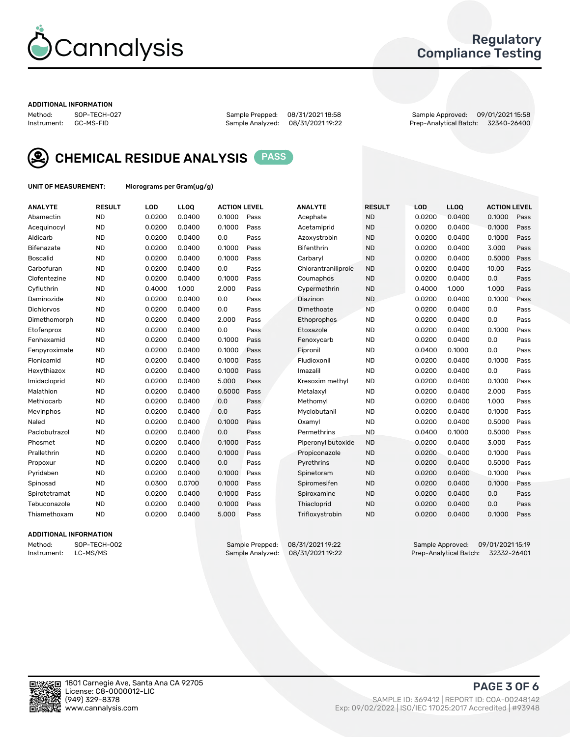

## Regulatory Compliance Testing

#### ADDITIONAL INFORMATION

Method: SOP-TECH-027 Sample Prepped: 08/31/2021 18:58 Sample Approved: 09/01/2021 15:58 Prep-Analytical Batch: 32340-26400



CHEMICAL RESIDUE ANALYSIS PASS

UNIT OF MEASUREMENT: Micrograms per Gram(ug/g)

| <b>ANALYTE</b>    | <b>RESULT</b> | LOD    | LL <sub>OO</sub> | <b>ACTION LEVEL</b> |      | <b>ANALYTE</b>      | <b>RESULT</b> | <b>LOD</b> | <b>LLOQ</b> | <b>ACTION LEVEL</b> |      |
|-------------------|---------------|--------|------------------|---------------------|------|---------------------|---------------|------------|-------------|---------------------|------|
| Abamectin         | <b>ND</b>     | 0.0200 | 0.0400           | 0.1000              | Pass | Acephate            | <b>ND</b>     | 0.0200     | 0.0400      | 0.1000              | Pass |
| Acequinocyl       | <b>ND</b>     | 0.0200 | 0.0400           | 0.1000              | Pass | Acetamiprid         | <b>ND</b>     | 0.0200     | 0.0400      | 0.1000              | Pass |
| Aldicarb          | <b>ND</b>     | 0.0200 | 0.0400           | 0.0                 | Pass | Azoxystrobin        | <b>ND</b>     | 0.0200     | 0.0400      | 0.1000              | Pass |
| Bifenazate        | <b>ND</b>     | 0.0200 | 0.0400           | 0.1000              | Pass | <b>Bifenthrin</b>   | <b>ND</b>     | 0.0200     | 0.0400      | 3.000               | Pass |
| <b>Boscalid</b>   | <b>ND</b>     | 0.0200 | 0.0400           | 0.1000              | Pass | Carbaryl            | <b>ND</b>     | 0.0200     | 0.0400      | 0.5000              | Pass |
| Carbofuran        | <b>ND</b>     | 0.0200 | 0.0400           | 0.0                 | Pass | Chlorantraniliprole | <b>ND</b>     | 0.0200     | 0.0400      | 10.00               | Pass |
| Clofentezine      | <b>ND</b>     | 0.0200 | 0.0400           | 0.1000              | Pass | Coumaphos           | <b>ND</b>     | 0.0200     | 0.0400      | 0.0                 | Pass |
| Cyfluthrin        | <b>ND</b>     | 0.4000 | 1.000            | 2.000               | Pass | Cypermethrin        | <b>ND</b>     | 0.4000     | 1.000       | 1.000               | Pass |
| Daminozide        | <b>ND</b>     | 0.0200 | 0.0400           | 0.0                 | Pass | Diazinon            | <b>ND</b>     | 0.0200     | 0.0400      | 0.1000              | Pass |
| <b>Dichlorvos</b> | <b>ND</b>     | 0.0200 | 0.0400           | 0.0                 | Pass | Dimethoate          | <b>ND</b>     | 0.0200     | 0.0400      | 0.0                 | Pass |
| Dimethomorph      | <b>ND</b>     | 0.0200 | 0.0400           | 2.000               | Pass | Ethoprophos         | <b>ND</b>     | 0.0200     | 0.0400      | 0.0                 | Pass |
| Etofenprox        | <b>ND</b>     | 0.0200 | 0.0400           | 0.0                 | Pass | Etoxazole           | <b>ND</b>     | 0.0200     | 0.0400      | 0.1000              | Pass |
| Fenhexamid        | <b>ND</b>     | 0.0200 | 0.0400           | 0.1000              | Pass | Fenoxycarb          | <b>ND</b>     | 0.0200     | 0.0400      | 0.0                 | Pass |
| Fenpyroximate     | <b>ND</b>     | 0.0200 | 0.0400           | 0.1000              | Pass | Fipronil            | <b>ND</b>     | 0.0400     | 0.1000      | 0.0                 | Pass |
| Flonicamid        | <b>ND</b>     | 0.0200 | 0.0400           | 0.1000              | Pass | Fludioxonil         | <b>ND</b>     | 0.0200     | 0.0400      | 0.1000              | Pass |
| Hexythiazox       | <b>ND</b>     | 0.0200 | 0.0400           | 0.1000              | Pass | Imazalil            | <b>ND</b>     | 0.0200     | 0.0400      | 0.0                 | Pass |
| Imidacloprid      | <b>ND</b>     | 0.0200 | 0.0400           | 5.000               | Pass | Kresoxim methyl     | <b>ND</b>     | 0.0200     | 0.0400      | 0.1000              | Pass |
| Malathion         | <b>ND</b>     | 0.0200 | 0.0400           | 0.5000              | Pass | Metalaxyl           | <b>ND</b>     | 0.0200     | 0.0400      | 2.000               | Pass |
| Methiocarb        | <b>ND</b>     | 0.0200 | 0.0400           | 0.0                 | Pass | Methomyl            | <b>ND</b>     | 0.0200     | 0.0400      | 1.000               | Pass |
| Mevinphos         | <b>ND</b>     | 0.0200 | 0.0400           | 0.0                 | Pass | Myclobutanil        | <b>ND</b>     | 0.0200     | 0.0400      | 0.1000              | Pass |
| Naled             | <b>ND</b>     | 0.0200 | 0.0400           | 0.1000              | Pass | Oxamyl              | <b>ND</b>     | 0.0200     | 0.0400      | 0.5000              | Pass |
| Paclobutrazol     | <b>ND</b>     | 0.0200 | 0.0400           | 0.0                 | Pass | Permethrins         | <b>ND</b>     | 0.0400     | 0.1000      | 0.5000              | Pass |
| Phosmet           | <b>ND</b>     | 0.0200 | 0.0400           | 0.1000              | Pass | Piperonyl butoxide  | <b>ND</b>     | 0.0200     | 0.0400      | 3.000               | Pass |
| Prallethrin       | <b>ND</b>     | 0.0200 | 0.0400           | 0.1000              | Pass | Propiconazole       | <b>ND</b>     | 0.0200     | 0.0400      | 0.1000              | Pass |
| Propoxur          | <b>ND</b>     | 0.0200 | 0.0400           | 0.0                 | Pass | Pyrethrins          | <b>ND</b>     | 0.0200     | 0.0400      | 0.5000              | Pass |
| Pyridaben         | <b>ND</b>     | 0.0200 | 0.0400           | 0.1000              | Pass | Spinetoram          | <b>ND</b>     | 0.0200     | 0.0400      | 0.1000              | Pass |
| Spinosad          | <b>ND</b>     | 0.0300 | 0.0700           | 0.1000              | Pass | Spiromesifen        | <b>ND</b>     | 0.0200     | 0.0400      | 0.1000              | Pass |
| Spirotetramat     | <b>ND</b>     | 0.0200 | 0.0400           | 0.1000              | Pass | Spiroxamine         | <b>ND</b>     | 0.0200     | 0.0400      | 0.0                 | Pass |
| Tebuconazole      | <b>ND</b>     | 0.0200 | 0.0400           | 0.1000              | Pass | Thiacloprid         | <b>ND</b>     | 0.0200     | 0.0400      | 0.0                 | Pass |
| Thiamethoxam      | <b>ND</b>     | 0.0200 | 0.0400           | 5.000               | Pass | Trifloxystrobin     | <b>ND</b>     | 0.0200     | 0.0400      | 0.1000              | Pass |

### ADDITIONAL INFORMATION

Method: SOP-TECH-002 Sample Prepped: 08/31/2021 19:22 Sample Approved: 09/01/2021 15:19<br>Instrument: LC-MS/MS Sample Analyzed: 08/31/2021 19:22 Prep-Analytical Batch: 32332-26401 Prep-Analytical Batch: 32332-26401

PAGE 3 OF 6

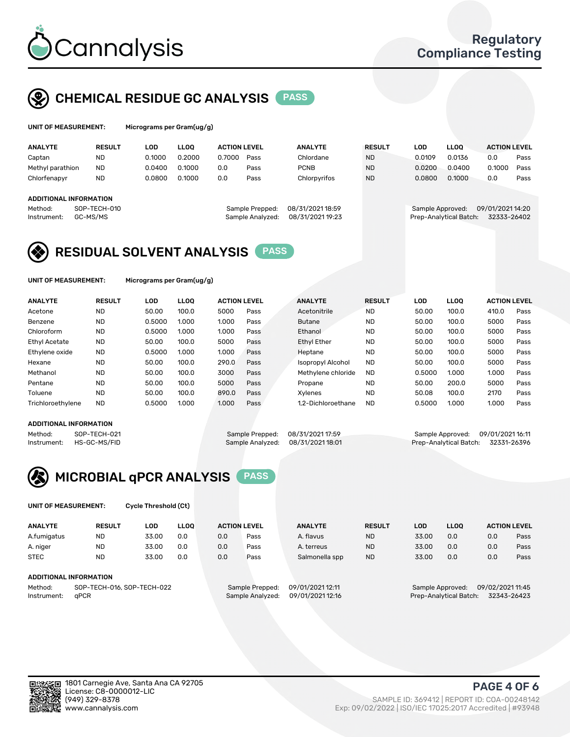

# CHEMICAL RESIDUE GC ANALYSIS PASS

| UNIT OF MEASUREMENT: | Microg |
|----------------------|--------|
|                      |        |

rams per Gram(ug/g)

| <b>ANALYTE</b>         | <b>RESULT</b>            | LOD    | <b>LLOO</b> | <b>ACTION LEVEL</b> |                                     | <b>ANALYTE</b>                       | <b>RESULT</b> | LOD              | <b>LLOO</b>            | <b>ACTION LEVEL</b>             |      |
|------------------------|--------------------------|--------|-------------|---------------------|-------------------------------------|--------------------------------------|---------------|------------------|------------------------|---------------------------------|------|
| Captan                 | <b>ND</b>                | 0.1000 | 0.2000      | 0.7000              | Pass                                | Chlordane                            | <b>ND</b>     | 0.0109           | 0.0136                 | 0.0                             | Pass |
| Methyl parathion       | <b>ND</b>                | 0.0400 | 0.1000      | 0.0                 | Pass                                | <b>PCNB</b>                          | <b>ND</b>     | 0.0200           | 0.0400                 | 0.1000                          | Pass |
| Chlorfenapyr           | <b>ND</b>                | 0.0800 | 0.1000      | 0.0                 | Pass                                | Chlorpyrifos                         | <b>ND</b>     | 0.0800           | 0.1000                 | 0.0                             | Pass |
|                        |                          |        |             |                     |                                     |                                      |               |                  |                        |                                 |      |
| ADDITIONAL INFORMATION |                          |        |             |                     |                                     |                                      |               |                  |                        |                                 |      |
| Method:<br>Instrument: | SOP-TECH-010<br>GC-MS/MS |        |             |                     | Sample Prepped:<br>Sample Analyzed: | 08/31/2021 18:59<br>08/31/2021 19:23 |               | Sample Approved: | Prep-Analytical Batch: | 09/01/2021 14:20<br>32333-26402 |      |

## RESIDUAL SOLVENT ANALYSIS PASS

UNIT OF MEASUREMENT: Micrograms per Gram(ug/g)

| <b>ANALYTE</b>    | <b>RESULT</b> | LOD    | <b>LLOO</b> | <b>ACTION LEVEL</b> |      | <b>ANALYTE</b>           | <b>RESULT</b> | LOD    | LLOO  | <b>ACTION LEVEL</b> |      |
|-------------------|---------------|--------|-------------|---------------------|------|--------------------------|---------------|--------|-------|---------------------|------|
| Acetone           | <b>ND</b>     | 50.00  | 100.0       | 5000                | Pass | Acetonitrile             | <b>ND</b>     | 50.00  | 100.0 | 410.0               | Pass |
| Benzene           | <b>ND</b>     | 0.5000 | 1.000       | 1.000               | Pass | <b>Butane</b>            | <b>ND</b>     | 50.00  | 100.0 | 5000                | Pass |
| Chloroform        | <b>ND</b>     | 0.5000 | 1.000       | 1.000               | Pass | Ethanol                  | <b>ND</b>     | 50.00  | 100.0 | 5000                | Pass |
| Ethyl Acetate     | <b>ND</b>     | 50.00  | 100.0       | 5000                | Pass | <b>Ethyl Ether</b>       | <b>ND</b>     | 50.00  | 100.0 | 5000                | Pass |
| Ethylene oxide    | <b>ND</b>     | 0.5000 | 1.000       | 1.000               | Pass | Heptane                  | <b>ND</b>     | 50.00  | 100.0 | 5000                | Pass |
| Hexane            | <b>ND</b>     | 50.00  | 100.0       | 290.0               | Pass | <b>Isopropyl Alcohol</b> | <b>ND</b>     | 50.00  | 100.0 | 5000                | Pass |
| Methanol          | <b>ND</b>     | 50.00  | 100.0       | 3000                | Pass | Methylene chloride       | <b>ND</b>     | 0.5000 | 1.000 | 1.000               | Pass |
| Pentane           | <b>ND</b>     | 50.00  | 100.0       | 5000                | Pass | Propane                  | <b>ND</b>     | 50.00  | 200.0 | 5000                | Pass |
| Toluene           | <b>ND</b>     | 50.00  | 100.0       | 890.0               | Pass | Xvlenes                  | <b>ND</b>     | 50.08  | 100.0 | 2170                | Pass |
| Trichloroethylene | <b>ND</b>     | 0.5000 | 1.000       | 1.000               | Pass | 1.2-Dichloroethane       | <b>ND</b>     | 0.5000 | 1.000 | 1.000               | Pass |

### ADDITIONAL INFORMATION

Method: SOP-TECH-021 Sample Prepped: 08/31/202117:59 Sample Approved: 09/01/202116:11<br>Sample Analyzed: 08/31/2021 18:01 Prep-Analytical Batch: 32331-26396 Prep-Analytical Batch: 32331-26396



UNIT OF MEASUREMENT: Cycle Threshold (Ct)

| <b>ANALYTE</b>      | <b>RESULT</b>                 | LOD   | <b>LLOO</b>      |                  | <b>ACTION LEVEL</b> | <b>ANALYTE</b> | <b>RESULT</b>          | LOD              | <b>LLOO</b>      |     | <b>ACTION LEVEL</b> |
|---------------------|-------------------------------|-------|------------------|------------------|---------------------|----------------|------------------------|------------------|------------------|-----|---------------------|
| A.fumigatus         | <b>ND</b>                     | 33.00 | 0.0              | 0.0              | Pass                | A. flavus      | <b>ND</b>              | 33.00            | 0.0              | 0.0 | Pass                |
| A. niger            | <b>ND</b>                     | 33.00 | 0.0              | 0.0              | Pass                | A. terreus     | <b>ND</b>              | 33.00            | 0.0              | 0.0 | Pass                |
| <b>STEC</b>         | <b>ND</b>                     | 33.00 | 0.0              | 0.0              | Pass                | Salmonella spp | <b>ND</b>              | 33.00            | 0.0              | 0.0 | Pass                |
|                     | <b>ADDITIONAL INFORMATION</b> |       |                  |                  |                     |                |                        |                  |                  |     |                     |
| Method:             | SOP-TECH-016, SOP-TECH-022    |       |                  | Sample Prepped:  | 09/01/2021 12:11    |                |                        | Sample Approved: | 09/02/2021 11:45 |     |                     |
| aPCR<br>Instrument: |                               |       | Sample Analyzed: | 09/01/2021 12:16 |                     |                | Prep-Analytical Batch: |                  | 32343-26423      |     |                     |

(949) 329-8378 SAMPLE ID: 369412 | REPORT ID: COA-00248142 Exp: 09/02/2022 | ISO/IEC 17025:2017 Accredited | #93948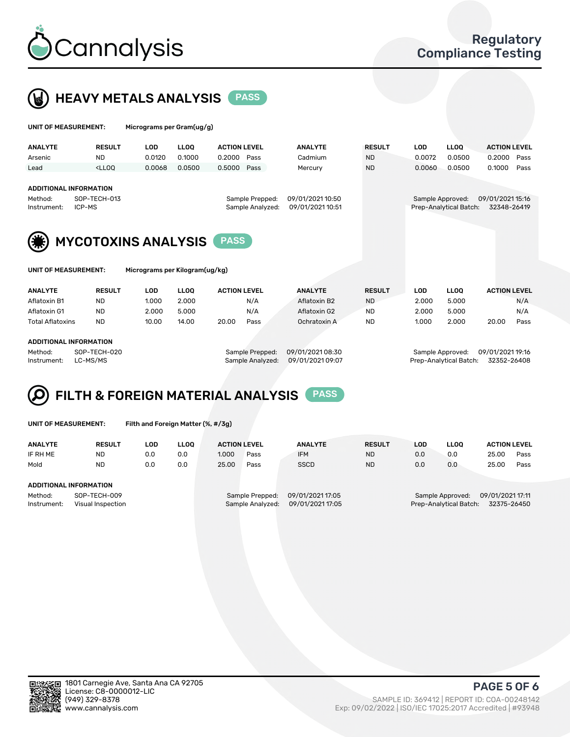

 $U$ UNIT OF MEASUREMENT: Micrograms per Gram(ug/g)



| <b>ANALYTE</b>                | <b>RESULT</b>                                                                                                                                                               | <b>LOD</b>                     | <b>LLOQ</b> | <b>ACTION LEVEL</b> |                  | <b>ANALYTE</b>   | <b>RESULT</b>    | <b>LOD</b> | <b>LLOQ</b>            | <b>ACTION LEVEL</b> |      |
|-------------------------------|-----------------------------------------------------------------------------------------------------------------------------------------------------------------------------|--------------------------------|-------------|---------------------|------------------|------------------|------------------|------------|------------------------|---------------------|------|
| Arsenic                       | <b>ND</b>                                                                                                                                                                   | 0.0120                         | 0.1000      | 0.2000              | Pass             | Cadmium          | <b>ND</b>        | 0.0072     | 0.0500                 | 0.2000              | Pass |
| Lead                          | <lloo< td=""><td>0.0068</td><td>0.0500</td><td>0.5000</td><td>Pass</td><td>Mercury</td><td><b>ND</b></td><td>0.0060</td><td>0.0500</td><td>0.1000</td><td>Pass</td></lloo<> | 0.0068                         | 0.0500      | 0.5000              | Pass             | Mercury          | <b>ND</b>        | 0.0060     | 0.0500                 | 0.1000              | Pass |
|                               |                                                                                                                                                                             |                                |             |                     |                  |                  |                  |            |                        |                     |      |
| <b>ADDITIONAL INFORMATION</b> |                                                                                                                                                                             |                                |             |                     |                  |                  |                  |            |                        |                     |      |
| Method:                       | SOP-TECH-013                                                                                                                                                                |                                |             | Sample Prepped:     | 09/01/2021 10:50 |                  | Sample Approved: |            | 09/01/2021 15:16       |                     |      |
| Instrument:                   | ICP-MS                                                                                                                                                                      |                                |             |                     | Sample Analyzed: | 09/01/2021 10:51 |                  |            | Prep-Analytical Batch: | 32348-26419         |      |
|                               |                                                                                                                                                                             |                                |             |                     |                  |                  |                  |            |                        |                     |      |
|                               |                                                                                                                                                                             |                                |             |                     |                  |                  |                  |            |                        |                     |      |
|                               | <b>MYCOTOXINS ANALYSIS</b>                                                                                                                                                  |                                |             | <b>PASS</b>         |                  |                  |                  |            |                        |                     |      |
|                               |                                                                                                                                                                             |                                |             |                     |                  |                  |                  |            |                        |                     |      |
|                               |                                                                                                                                                                             |                                |             |                     |                  |                  |                  |            |                        |                     |      |
| UNIT OF MEASUREMENT:          |                                                                                                                                                                             | Micrograms per Kilogram(ug/kg) |             |                     |                  |                  |                  |            |                        |                     |      |
|                               |                                                                                                                                                                             |                                |             |                     |                  |                  |                  |            |                        |                     |      |

| <b>ANALYTE</b>          | <b>RESULT</b> | LOD   | ∟LOO  | <b>ACTION LEVEL</b> |      | <b>ANALYTE</b> | <b>RESULT</b> | LOD   | LLOO  | <b>ACTION LEVEL</b> |      |
|-------------------------|---------------|-------|-------|---------------------|------|----------------|---------------|-------|-------|---------------------|------|
| Aflatoxin B1            | <b>ND</b>     | 1.000 | 2.000 |                     | N/A  | Aflatoxin B2   | <b>ND</b>     | 2.000 | 5.000 |                     | N/A  |
| Aflatoxin G1            | <b>ND</b>     | 2.000 | 5.000 |                     | N/A  | Aflatoxin G2   | <b>ND</b>     | 2.000 | 5.000 |                     | N/A  |
| <b>Total Aflatoxins</b> | <b>ND</b>     | 10.00 | 14.00 | 20.00               | Pass | Ochratoxin A   | <b>ND</b>     | 1.000 | 2.000 | 20.00               | Pass |
|                         |               |       |       |                     |      |                |               |       |       |                     |      |
| ADDITIONAL INFORMATION  |               |       |       |                     |      |                |               |       |       |                     |      |

Method: SOP-TECH-020 Sample Prepped: 09/01/2021 08:30 Sample Approved: 09/01/2021 19:16 Instrument: LC-MS/MS Sample Analyzed: 09/01/2021 09:07 Prep-Analytical Batch: 32352-26408

# FILTH & FOREIGN MATERIAL ANALYSIS PASS

UNIT OF MEASUREMENT: Filth and Foreign Matter (%, #/3g)

| <b>ANALYTE</b>                   | <b>RESULT</b> | LOD | <b>LLOO</b> | <b>ACTION LEVEL</b> |                  | <b>ANALYTE</b>   | <b>RESULT</b> | LOD                                   | <b>LLOO</b> | <b>ACTION LEVEL</b> |      |
|----------------------------------|---------------|-----|-------------|---------------------|------------------|------------------|---------------|---------------------------------------|-------------|---------------------|------|
| IF RH ME                         | ND            | 0.0 | 0.0         | 1.000               | Pass             | <b>IFM</b>       | <b>ND</b>     | 0.0                                   | 0.0         | 25.00               | Pass |
| Mold                             | <b>ND</b>     | 0.0 | 0.0         | 25.00               | Pass             | <b>SSCD</b>      | <b>ND</b>     | 0.0                                   | 0.0         | 25.00               | Pass |
|                                  |               |     |             |                     |                  |                  |               |                                       |             |                     |      |
| ADDITIONAL INFORMATION           |               |     |             |                     |                  |                  |               |                                       |             |                     |      |
| Method:                          | SOP-TECH-009  |     |             | Sample Prepped:     |                  | 09/01/2021 17:05 |               | 09/01/2021 17:11<br>Sample Approved:  |             |                     |      |
| Instrument:<br>Visual Inspection |               |     |             |                     | Sample Analyzed: | 09/01/2021 17:05 |               | 32375-26450<br>Prep-Analytical Batch: |             |                     |      |



PAGE 5 OF 6